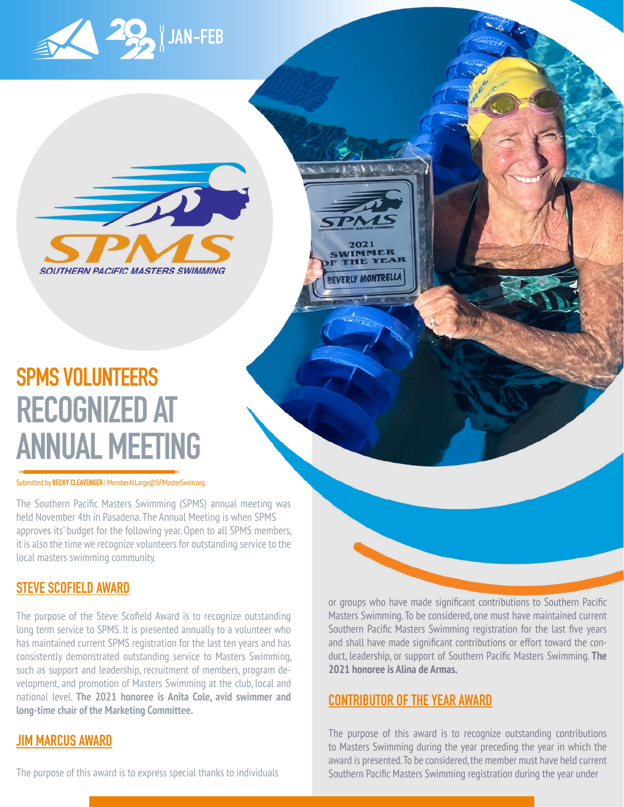



### **SPMS VOLUNTEERS RECOGNIZED AT ANNUAL MEETING**

Submitted by **BECKY CLEAVENGER** | [MemberAtLarge@SPMasterSwim.org](mailto:MemberAtLarge%40SPMasterSwim.org?subject=)

The Southern Pacific Masters Swimming (SPMS) annual meeting was held November 4th in Pasadena. The Annual Meeting is when SPMS approves its' budget for the following year. Open to all SPMS members, it is also the time we recognize volunteers for outstanding service to the local masters swimming community.

#### **STEVE SCOFIELD AWARD**

The purpose of the Steve Scofield Award is to recognize outstanding long term service to SPMS. It is presented annually to a volunteer who has maintained current SPMS registration for the last ten years and has consistently demonstrated outstanding service to Masters Swimming, such as support and leadership, recruitment of members, program development, and promotion of Masters Swimming at the club, local and national level. **The 2021 honoree is Anita Cole, avid swimmer and long-time chair of the Marketing Committee.**

### **JIM MARCUS AWARD**

or groups who have made significant contributions to Southern Pacific Masters Swimming. To be considered, one must have maintained current Southern Pacific Masters Swimming registration for the last five years and shall have made significant contributions or effort toward the conduct, leadership, or support of Southern Pacific Masters Swimming. **The 2021 honoree is Alina de Armas.**

#### **CONTRIBUTOR OF THE YEAR AWARD**

2021 VIMMER

EVERLY MONTRELLA

The purpose of this award is to recognize outstanding contributions to Masters Swimming during the year preceding the year in which the award is presented. To be considered, the member must have held current Southern Pacific Masters Swimming registration during the year under

The purpose of this award is to express special thanks to individuals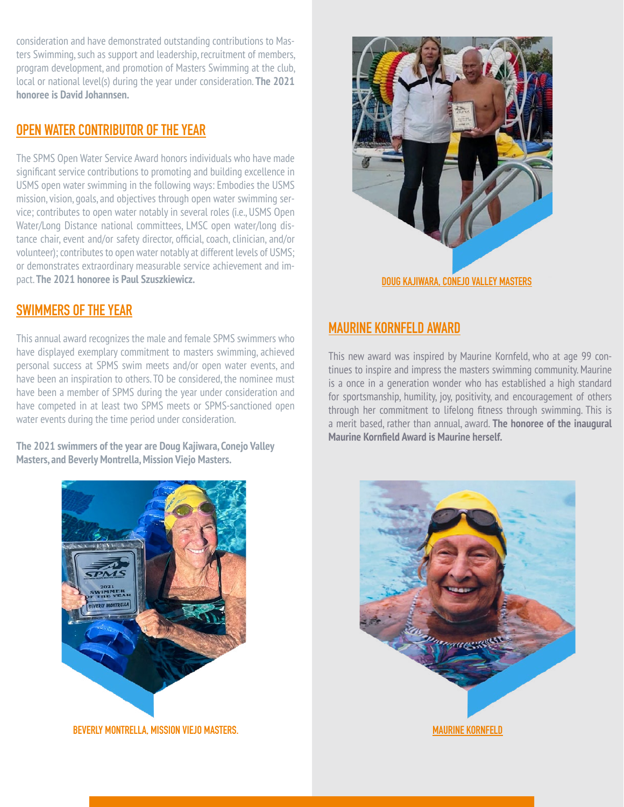consideration and have demonstrated outstanding contributions to Masters Swimming, such as support and leadership, recruitment of members, program development, and promotion of Masters Swimming at the club, local or national level(s) during the year under consideration. **The 2021 honoree is David Johannsen.**

#### **OPEN WATER CONTRIBUTOR OF THE YEAR**

The SPMS Open Water Service Award honors individuals who have made significant service contributions to promoting and building excellence in USMS open water swimming in the following ways: Embodies the USMS mission, vision, goals, and objectives through open water swimming service; contributes to open water notably in several roles (i.e., USMS Open Water/Long Distance national committees, LMSC open water/long distance chair, event and/or safety director, official, coach, clinician, and/or volunteer); contributes to open water notably at different levels of USMS; or demonstrates extraordinary measurable service achievement and impact. **The 2021 honoree is Paul Szuszkiewicz.**

### **SWIMMERS OF THE YEAR**

This annual award recognizes the male and female SPMS swimmers who have displayed exemplary commitment to masters swimming, achieved personal success at SPMS swim meets and/or open water events, and have been an inspiration to others. TO be considered, the nominee must have been a member of SPMS during the year under consideration and have competed in at least two SPMS meets or SPMS-sanctioned open water events during the time period under consideration.

**The 2021 swimmers of the year are Doug Kajiwara, Conejo Valley Masters, and Beverly Montrella, Mission Viejo Masters.**



### **MAURINE KORNFELD AWARD**

This new award was inspired by Maurine Kornfeld, who at age 99 continues to inspire and impress the masters swimming community. Maurine is a once in a generation wonder who has established a high standard for sportsmanship, humility, joy, positivity, and encouragement of others through her commitment to lifelong fitness through swimming. This is a merit based, rather than annual, award. **The honoree of the inaugural Maurine Kornfield Award is Maurine herself.** 



**BEVERLY MONTRELLA, MISSION VIEJO MASTERS. MAURINE KORNFELD**

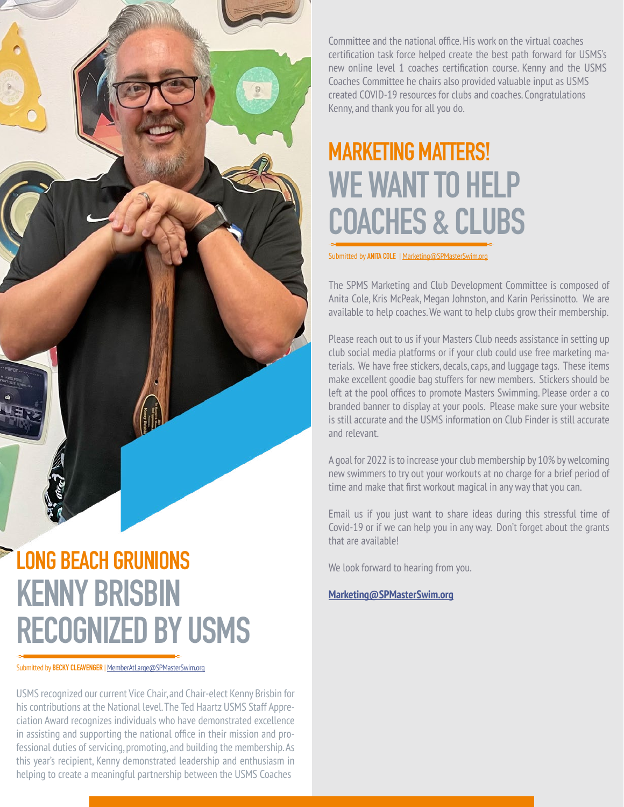### **LONG BEACH GRUNIONS KENNY BRISBIN RECOGNIZED BY USMS**

Submitted by **BECKY CLEAVENGER** | [MemberAtLarge@SPMasterSwim.org](mailto:MemberAtLarge%40SPMasterSwim.org?subject=)

USMS recognized our current Vice Chair, and Chair-elect Kenny Brisbin for his contributions at the National level. The Ted Haartz USMS Staff Appreciation Award recognizes individuals who have demonstrated excellence in assisting and supporting the national office in their mission and professional duties of servicing, promoting, and building the membership. As this year's recipient, Kenny demonstrated leadership and enthusiasm in helping to create a meaningful partnership between the USMS Coaches

Committee and the national office. His work on the virtual coaches certification task force helped create the best path forward for USMS's new online level 1 coaches certification course. Kenny and the USMS Coaches Committee he chairs also provided valuable input as USMS created COVID-19 resources for clubs and coaches. Congratulations Kenny, and thank you for all you do.

### **MARKETING MATTERS! WE WANT TO HELP COACHES & CLUBS**

Submitted by **ANITA COLE** | [Marketing@SPMasterSwim.org](mailto:Marketing%40SPMasterSwim.org?subject=)

The SPMS Marketing and Club Development Committee is composed of Anita Cole, Kris McPeak, Megan Johnston, and Karin Perissinotto. We are available to help coaches. We want to help clubs grow their membership.

Please reach out to us if your Masters Club needs assistance in setting up club social media platforms or if your club could use free marketing materials. We have free stickers, decals, caps, and luggage tags. These items make excellent goodie bag stuffers for new members. Stickers should be left at the pool offices to promote Masters Swimming. Please order a co branded banner to display at your pools. Please make sure your website is still accurate and the USMS information on Club Finder is still accurate and relevant.

A goal for 2022 is to increase your club membership by 10% by welcoming new swimmers to try out your workouts at no charge for a brief period of time and make that first workout magical in any way that you can.

Email us if you just want to share ideas during this stressful time of Covid-19 or if we can help you in any way. Don't forget about the grants that are available!

We look forward to hearing from you.

**[Marketing@SPMasterSwim.org](mailto:Marketing%40SPMasterSwim.org?subject=)**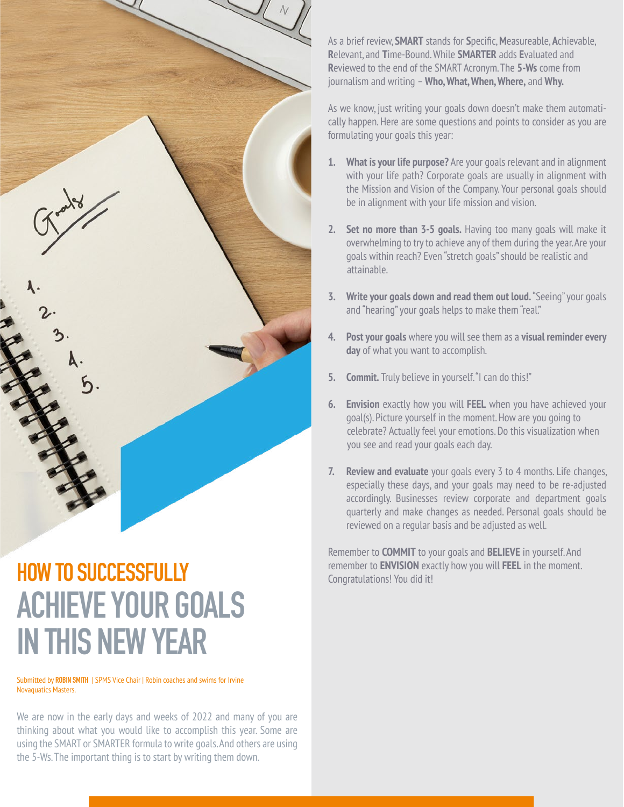

# **ACHIEVE YOUR GOALS IN THIS NEW YEAR**

Submitted by **ROBIN SMITH** | SPMS Vice Chair | Robin coaches and swims for Irvine Novaquatics Masters.

We are now in the early days and weeks of 2022 and many of you are thinking about what you would like to accomplish this year. Some are using the SMART or SMARTER formula to write goals. And others are using the 5-Ws. The important thing is to start by writing them down.

As a brief review, **SMART** stands for **S**pecific, **M**easureable, **A**chievable, **R**elevant, and **T**ime-Bound. While **SMARTER** adds **E**valuated and **R**eviewed to the end of the SMART Acronym. The **5-Ws** come from journalism and writing – **Who, What, When, Where,** and **Why.**

As we know, just writing your goals down doesn't make them automatically happen. Here are some questions and points to consider as you are formulating your goals this year:

- **1. What is your life purpose?** Are your goals relevant and in alignment with your life path? Corporate goals are usually in alignment with the Mission and Vision of the Company. Your personal goals should be in alignment with your life mission and vision.
- **2. Set no more than 3-5 goals.** Having too many goals will make it overwhelming to try to achieve any of them during the year. Are your goals within reach? Even "stretch goals" should be realistic and attainable.
- **3. Write your goals down and read them out loud.** "Seeing" your goals and "hearing" your goals helps to make them "real."
- **4. Post your goals** where you will see them as a **visual reminder every day** of what you want to accomplish.
- **5. Commit.** Truly believe in yourself. "I can do this!"
- **6. Envision** exactly how you will **FEEL** when you have achieved your goal(s). Picture yourself in the moment. How are you going to celebrate? Actually feel your emotions. Do this visualization when you see and read your goals each day.
- **7. Review and evaluate** your goals every 3 to 4 months. Life changes, especially these days, and your goals may need to be re-adjusted accordingly. Businesses review corporate and department goals quarterly and make changes as needed. Personal goals should be reviewed on a regular basis and be adjusted as well.

Remember to **COMMIT** to your goals and **BELIEVE** in yourself. And **HOW TO SUCCESSFULLY Exampler to ENVISION** exactly how you will FEEL in the moment.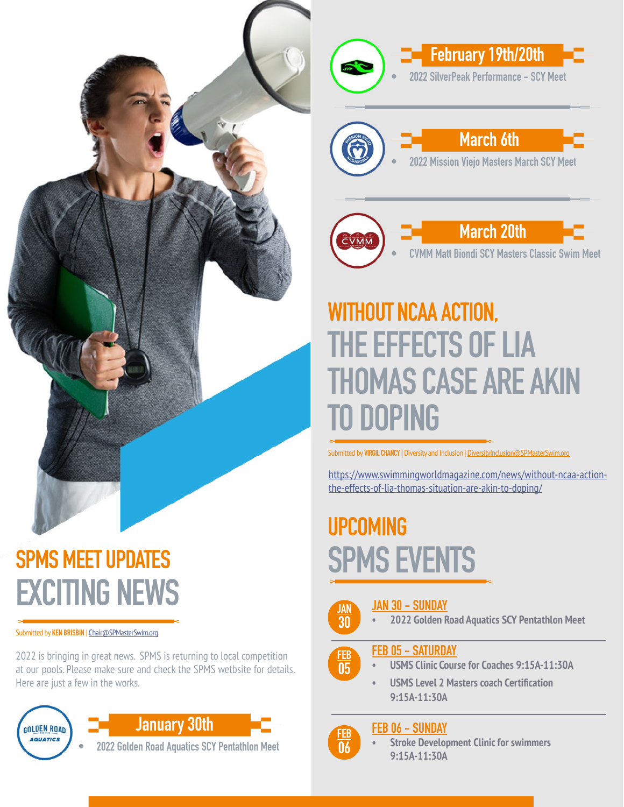

**• 2022 SilverPeak Performance - SCY Meet March 6th**

**• 2022 Mission Viejo Masters March SCY Meet**

 **February 19th/20th**



# **WITHOUT NCAA ACTION, THE EFFECTS OF LIA THOMAS CASE ARE AKIN TO DOPING**

Submitted by **VIRGIL CHANCY** | Diversity and Inclusion | DiversityInclusion@SPMasterSwim.org

[https://www.swimmingworldmagazine.com/news/without-ncaa-action](https://www.swimmingworldmagazine.com/news/without-ncaa-action-the-effects-of-lia-thomas-situation-are-akin-to-doping/)[the-effects-of-lia-thomas-situation-are-akin-to-doping/](https://www.swimmingworldmagazine.com/news/without-ncaa-action-the-effects-of-lia-thomas-situation-are-akin-to-doping/)

# **UPCOMING SPMS EVENTS**

**JAN 30 - SUNDAY • 2022 Golden Road Aquatics SCY Pentathlon Meet JAN 30**

#### **FEB 05 - SATURDAY**

- **FEB 05**
- **• USMS Clinic Course for Coaches 9:15A-11:30A**
	- **• USMS Level 2 Masters coach Certification 9:15A-11:30A**

### **FEB 06 - SUNDAY**

**FEB 06**

**• Stroke Development Clinic for swimmers 9:15A-11:30A**

# **SPMS MEET UPDATES EXCITING NEWS**

Submitted by **KEN BRISBIN** | Chair@SPMasterSwim.org

2022 is bringing in great news. SPMS is returning to local competition at our pools. Please make sure and check the SPMS wetbsite for details. Here are just a few in the works.